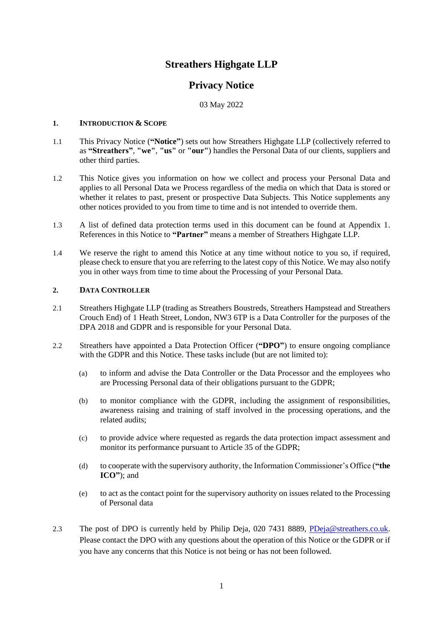# **Streathers Highgate LLP**

## **Privacy Notice**

03 May 2022

### **1. INTRODUCTION & SCOPE**

- 1.1 This Privacy Notice (**"Notice"**) sets out how Streathers Highgate LLP (collectively referred to as **"Streathers"**, **"we"**, **"us"** or **"our"**) handles the Personal Data of our clients, suppliers and other third parties.
- 1.2 This Notice gives you information on how we collect and process your Personal Data and applies to all Personal Data we Process regardless of the media on which that Data is stored or whether it relates to past, present or prospective Data Subjects. This Notice supplements any other notices provided to you from time to time and is not intended to override them.
- 1.3 A list of defined data protection terms used in this document can be found at Appendix 1. References in this Notice to **"Partner"** means a member of Streathers Highgate LLP.
- 1.4 We reserve the right to amend this Notice at any time without notice to you so, if required, please check to ensure that you are referring to the latest copy of this Notice. We may also notify you in other ways from time to time about the Processing of your Personal Data.

### **2. DATA CONTROLLER**

- 2.1 Streathers Highgate LLP (trading as Streathers Boustreds, Streathers Hampstead and Streathers Crouch End) of 1 Heath Street, London, NW3 6TP is a Data Controller for the purposes of the DPA 2018 and GDPR and is responsible for your Personal Data.
- 2.2 Streathers have appointed a Data Protection Officer (**"DPO"**) to ensure ongoing compliance with the GDPR and this Notice. These tasks include (but are not limited to):
	- (a) to inform and advise the Data Controller or the Data Processor and the employees who are Processing Personal data of their obligations pursuant to the GDPR;
	- (b) to monitor compliance with the GDPR, including the assignment of responsibilities, awareness raising and training of staff involved in the processing operations, and the related audits;
	- (c) to provide advice where requested as regards the data protection impact assessment and monitor its performance pursuant to Article 35 of the GDPR;
	- (d) to cooperate with the supervisory authority, the Information Commissioner's Office (**"the ICO"**); and
	- (e) to act as the contact point for the supervisory authority on issues related to the Processing of Personal data
- 2.3 The post of DPO is currently held by Philip Deja, 020 7431 8889, [PDeja@streathers.co.uk.](mailto:PDeja@streathers.co.uk) Please contact the DPO with any questions about the operation of this Notice or the GDPR or if you have any concerns that this Notice is not being or has not been followed.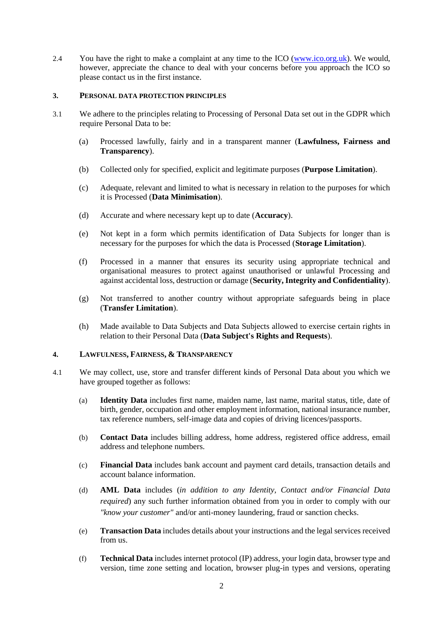2.4 You have the right to make a complaint at any time to the ICO [\(www.ico.org.uk\)](http://www.ico.org.uk/). We would, however, appreciate the chance to deal with your concerns before you approach the ICO so please contact us in the first instance.

### **3. PERSONAL DATA PROTECTION PRINCIPLES**

- 3.1 We adhere to the principles relating to Processing of Personal Data set out in the GDPR which require Personal Data to be:
	- (a) Processed lawfully, fairly and in a transparent manner (**Lawfulness, Fairness and Transparency**).
	- (b) Collected only for specified, explicit and legitimate purposes (**Purpose Limitation**).
	- (c) Adequate, relevant and limited to what is necessary in relation to the purposes for which it is Processed (**Data Minimisation**).
	- (d) Accurate and where necessary kept up to date (**Accuracy**).
	- (e) Not kept in a form which permits identification of Data Subjects for longer than is necessary for the purposes for which the data is Processed (**Storage Limitation**).
	- (f) Processed in a manner that ensures its security using appropriate technical and organisational measures to protect against unauthorised or unlawful Processing and against accidental loss, destruction or damage (**Security, Integrity and Confidentiality**).
	- (g) Not transferred to another country without appropriate safeguards being in place (**Transfer Limitation**).
	- (h) Made available to Data Subjects and Data Subjects allowed to exercise certain rights in relation to their Personal Data (**Data Subject's Rights and Requests**).

### **4. LAWFULNESS, FAIRNESS, & TRANSPARENCY**

- 4.1 We may collect, use, store and transfer different kinds of Personal Data about you which we have grouped together as follows:
	- (a) **Identity Data** includes first name, maiden name, last name, marital status, title, date of birth, gender, occupation and other employment information, national insurance number, tax reference numbers, self-image data and copies of driving licences/passports.
	- (b) **Contact Data** includes billing address, home address, registered office address, email address and telephone numbers.
	- (c) **Financial Data** includes bank account and payment card details, transaction details and account balance information.
	- (d) **AML Data** includes (*in addition to any Identity, Contact and/or Financial Data required*) any such further information obtained from you in order to comply with our *"know your customer"* and/or anti-money laundering, fraud or sanction checks.
	- (e) **Transaction Data** includes details about your instructions and the legal services received from us.
	- (f) **Technical Data** includes internet protocol (IP) address, your login data, browser type and version, time zone setting and location, browser plug-in types and versions, operating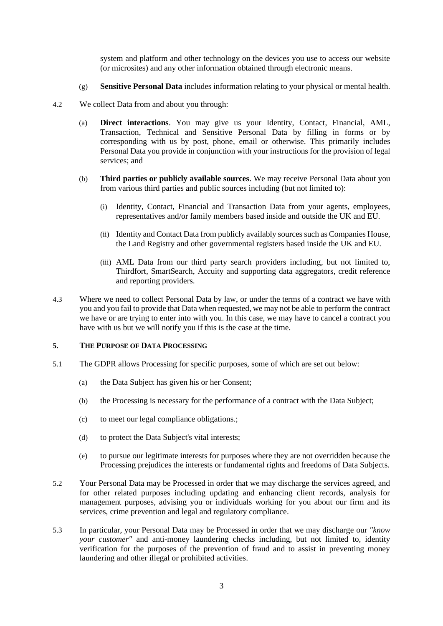system and platform and other technology on the devices you use to access our website (or microsites) and any other information obtained through electronic means.

- (g) **Sensitive Personal Data** includes information relating to your physical or mental health.
- 4.2 We collect Data from and about you through:
	- (a) **Direct interactions**. You may give us your Identity, Contact, Financial, AML, Transaction, Technical and Sensitive Personal Data by filling in forms or by corresponding with us by post, phone, email or otherwise. This primarily includes Personal Data you provide in conjunction with your instructions for the provision of legal services; and
	- (b) **Third parties or publicly available sources**. We may receive Personal Data about you from various third parties and public sources including (but not limited to):
		- (i) Identity, Contact, Financial and Transaction Data from your agents, employees, representatives and/or family members based inside and outside the UK and EU.
		- (ii) Identity and Contact Data from publicly availably sources such as Companies House, the Land Registry and other governmental registers based inside the UK and EU.
		- (iii) AML Data from our third party search providers including, but not limited to, Thirdfort, SmartSearch, Accuity and supporting data aggregators, credit reference and reporting providers.
- 4.3 Where we need to collect Personal Data by law, or under the terms of a contract we have with you and you fail to provide that Data when requested, we may not be able to perform the contract we have or are trying to enter into with you. In this case, we may have to cancel a contract you have with us but we will notify you if this is the case at the time.

### **5. THE PURPOSE OF DATA PROCESSING**

- 5.1 The GDPR allows Processing for specific purposes, some of which are set out below:
	- (a) the Data Subject has given his or her Consent;
	- (b) the Processing is necessary for the performance of a contract with the Data Subject;
	- (c) to meet our legal compliance obligations.;
	- (d) to protect the Data Subject's vital interests;
	- (e) to pursue our legitimate interests for purposes where they are not overridden because the Processing prejudices the interests or fundamental rights and freedoms of Data Subjects.
- 5.2 Your Personal Data may be Processed in order that we may discharge the services agreed, and for other related purposes including updating and enhancing client records, analysis for management purposes, advising you or individuals working for you about our firm and its services, crime prevention and legal and regulatory compliance.
- 5.3 In particular, your Personal Data may be Processed in order that we may discharge our *"know your customer"* and anti-money laundering checks including, but not limited to, identity verification for the purposes of the prevention of fraud and to assist in preventing money laundering and other illegal or prohibited activities.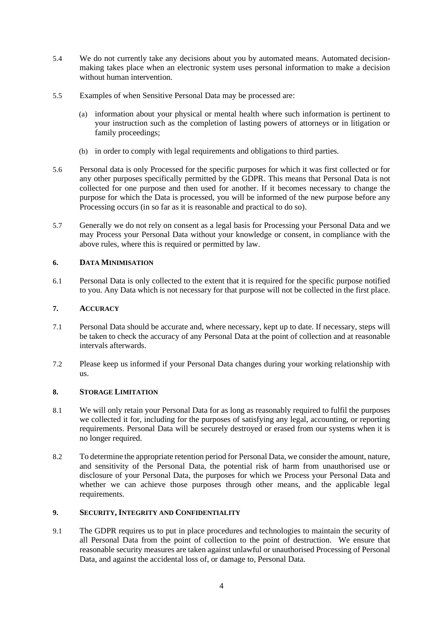- 5.4 We do not currently take any decisions about you by automated means. Automated decisionmaking takes place when an electronic system uses personal information to make a decision without human intervention.
- 5.5 Examples of when Sensitive Personal Data may be processed are:
	- (a) information about your physical or mental health where such information is pertinent to your instruction such as the completion of lasting powers of attorneys or in litigation or family proceedings;
	- (b) in order to comply with legal requirements and obligations to third parties.
- 5.6 Personal data is only Processed for the specific purposes for which it was first collected or for any other purposes specifically permitted by the GDPR. This means that Personal Data is not collected for one purpose and then used for another. If it becomes necessary to change the purpose for which the Data is processed, you will be informed of the new purpose before any Processing occurs (in so far as it is reasonable and practical to do so).
- 5.7 Generally we do not rely on consent as a legal basis for Processing your Personal Data and we may Process your Personal Data without your knowledge or consent, in compliance with the above rules, where this is required or permitted by law.

### **6. DATA MINIMISATION**

6.1 Personal Data is only collected to the extent that it is required for the specific purpose notified to you. Any Data which is not necessary for that purpose will not be collected in the first place.

### **7. ACCURACY**

- 7.1 Personal Data should be accurate and, where necessary, kept up to date. If necessary, steps will be taken to check the accuracy of any Personal Data at the point of collection and at reasonable intervals afterwards.
- 7.2 Please keep us informed if your Personal Data changes during your working relationship with us.

### **8. STORAGE LIMITATION**

- 8.1 We will only retain your Personal Data for as long as reasonably required to fulfil the purposes we collected it for, including for the purposes of satisfying any legal, accounting, or reporting requirements. Personal Data will be securely destroyed or erased from our systems when it is no longer required.
- 8.2 To determine the appropriate retention period for Personal Data, we consider the amount, nature, and sensitivity of the Personal Data, the potential risk of harm from unauthorised use or disclosure of your Personal Data, the purposes for which we Process your Personal Data and whether we can achieve those purposes through other means, and the applicable legal requirements.

### **9. SECURITY, INTEGRITY AND CONFIDENTIALITY**

9.1 The GDPR requires us to put in place procedures and technologies to maintain the security of all Personal Data from the point of collection to the point of destruction. We ensure that reasonable security measures are taken against unlawful or unauthorised Processing of Personal Data, and against the accidental loss of, or damage to, Personal Data.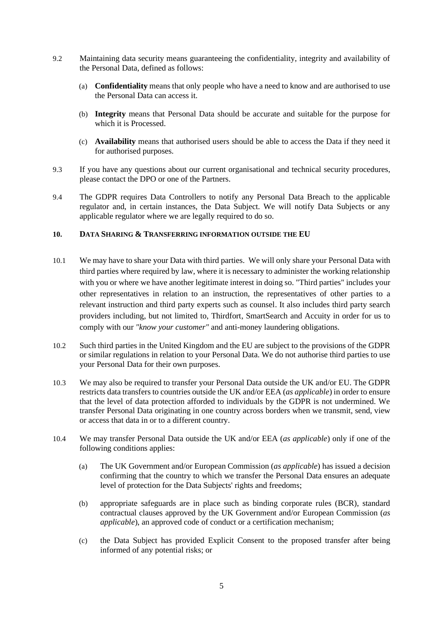- 9.2 Maintaining data security means guaranteeing the confidentiality, integrity and availability of the Personal Data, defined as follows:
	- (a) **Confidentiality** means that only people who have a need to know and are authorised to use the Personal Data can access it.
	- (b) **Integrity** means that Personal Data should be accurate and suitable for the purpose for which it is Processed.
	- (c) **Availability** means that authorised users should be able to access the Data if they need it for authorised purposes.
- 9.3 If you have any questions about our current organisational and technical security procedures, please contact the DPO or one of the Partners.
- 9.4 The GDPR requires Data Controllers to notify any Personal Data Breach to the applicable regulator and, in certain instances, the Data Subject. We will notify Data Subjects or any applicable regulator where we are legally required to do so.

### **10. DATA SHARING & TRANSFERRING INFORMATION OUTSIDE THE EU**

- 10.1 We may have to share your Data with third parties. We will only share your Personal Data with third parties where required by law, where it is necessary to administer the working relationship with you or where we have another legitimate interest in doing so. "Third parties" includes your other representatives in relation to an instruction, the representatives of other parties to a relevant instruction and third party experts such as counsel. It also includes third party search providers including, but not limited to, Thirdfort, SmartSearch and Accuity in order for us to comply with our *"know your customer"* and anti-money laundering obligations.
- 10.2 Such third parties in the United Kingdom and the EU are subject to the provisions of the GDPR or similar regulations in relation to your Personal Data. We do not authorise third parties to use your Personal Data for their own purposes.
- 10.3 We may also be required to transfer your Personal Data outside the UK and/or EU. The GDPR restricts data transfers to countries outside the UK and/or EEA (*as applicable*) in order to ensure that the level of data protection afforded to individuals by the GDPR is not undermined. We transfer Personal Data originating in one country across borders when we transmit, send, view or access that data in or to a different country.
- 10.4 We may transfer Personal Data outside the UK and/or EEA (*as applicable*) only if one of the following conditions applies:
	- (a) The UK Government and/or European Commission (*as applicable*) has issued a decision confirming that the country to which we transfer the Personal Data ensures an adequate level of protection for the Data Subjects' rights and freedoms;
	- (b) appropriate safeguards are in place such as binding corporate rules (BCR), standard contractual clauses approved by the UK Government and/or European Commission (*as applicable*), an approved code of conduct or a certification mechanism;
	- (c) the Data Subject has provided Explicit Consent to the proposed transfer after being informed of any potential risks; or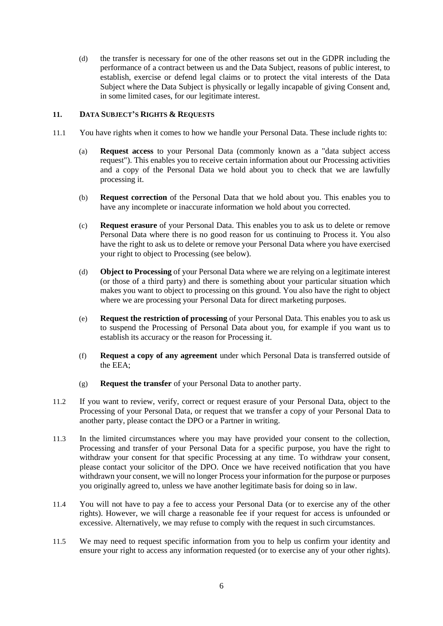(d) the transfer is necessary for one of the other reasons set out in the GDPR including the performance of a contract between us and the Data Subject, reasons of public interest, to establish, exercise or defend legal claims or to protect the vital interests of the Data Subject where the Data Subject is physically or legally incapable of giving Consent and, in some limited cases, for our legitimate interest.

### **11. DATA SUBJECT'S RIGHTS & REQUESTS**

- 11.1 You have rights when it comes to how we handle your Personal Data. These include rights to:
	- (a) **Request access** to your Personal Data (commonly known as a "data subject access request"). This enables you to receive certain information about our Processing activities and a copy of the Personal Data we hold about you to check that we are lawfully processing it.
	- (b) **Request correction** of the Personal Data that we hold about you. This enables you to have any incomplete or inaccurate information we hold about you corrected.
	- (c) **Request erasure** of your Personal Data. This enables you to ask us to delete or remove Personal Data where there is no good reason for us continuing to Process it. You also have the right to ask us to delete or remove your Personal Data where you have exercised your right to object to Processing (see below).
	- (d) **Object to Processing** of your Personal Data where we are relying on a legitimate interest (or those of a third party) and there is something about your particular situation which makes you want to object to processing on this ground. You also have the right to object where we are processing your Personal Data for direct marketing purposes.
	- (e) **Request the restriction of processing** of your Personal Data. This enables you to ask us to suspend the Processing of Personal Data about you, for example if you want us to establish its accuracy or the reason for Processing it.
	- (f) **Request a copy of any agreement** under which Personal Data is transferred outside of the EEA;
	- (g) **Request the transfer** of your Personal Data to another party.
- 11.2 If you want to review, verify, correct or request erasure of your Personal Data, object to the Processing of your Personal Data, or request that we transfer a copy of your Personal Data to another party, please contact the DPO or a Partner in writing.
- 11.3 In the limited circumstances where you may have provided your consent to the collection, Processing and transfer of your Personal Data for a specific purpose, you have the right to withdraw your consent for that specific Processing at any time. To withdraw your consent, please contact your solicitor of the DPO. Once we have received notification that you have withdrawn your consent, we will no longer Process your information for the purpose or purposes you originally agreed to, unless we have another legitimate basis for doing so in law.
- 11.4 You will not have to pay a fee to access your Personal Data (or to exercise any of the other rights). However, we will charge a reasonable fee if your request for access is unfounded or excessive. Alternatively, we may refuse to comply with the request in such circumstances.
- 11.5 We may need to request specific information from you to help us confirm your identity and ensure your right to access any information requested (or to exercise any of your other rights).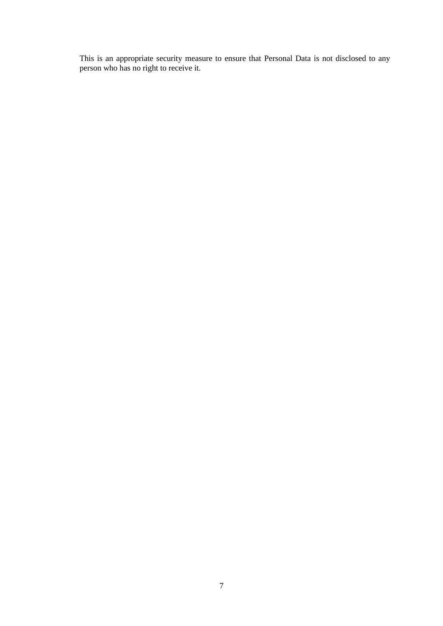This is an appropriate security measure to ensure that Personal Data is not disclosed to any person who has no right to receive it.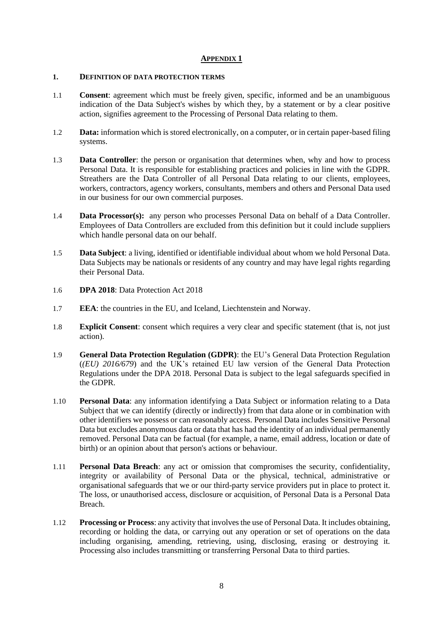### **APPENDIX 1**

### **1. DEFINITION OF DATA PROTECTION TERMS**

- 1.1 **Consent**: agreement which must be freely given, specific, informed and be an unambiguous indication of the Data Subject's wishes by which they, by a statement or by a clear positive action, signifies agreement to the Processing of Personal Data relating to them.
- 1.2 **Data:** information which is stored electronically, on a computer, or in certain paper-based filing systems.
- 1.3 **Data Controller**: the person or organisation that determines when, why and how to process Personal Data. It is responsible for establishing practices and policies in line with the GDPR. Streathers are the Data Controller of all Personal Data relating to our clients, employees, workers, contractors, agency workers, consultants, members and others and Personal Data used in our business for our own commercial purposes.
- 1.4 **Data Processor(s):** any person who processes Personal Data on behalf of a Data Controller. Employees of Data Controllers are excluded from this definition but it could include suppliers which handle personal data on our behalf.
- 1.5 **Data Subject**: a living, identified or identifiable individual about whom we hold Personal Data. Data Subjects may be nationals or residents of any country and may have legal rights regarding their Personal Data.
- 1.6 **DPA 2018**: Data Protection Act 2018
- 1.7 **EEA**: the countries in the EU, and Iceland, Liechtenstein and Norway.
- 1.8 **Explicit Consent**: consent which requires a very clear and specific statement (that is, not just action).
- 1.9 **General Data Protection Regulation (GDPR)**: the EU's General Data Protection Regulation (*(EU) 2016/679*) and the UK's retained EU law version of the General Data Protection Regulations under the DPA 2018. Personal Data is subject to the legal safeguards specified in the GDPR.
- 1.10 **Personal Data**: any information identifying a Data Subject or information relating to a Data Subject that we can identify (directly or indirectly) from that data alone or in combination with other identifiers we possess or can reasonably access. Personal Data includes Sensitive Personal Data but excludes anonymous data or data that has had the identity of an individual permanently removed. Personal Data can be factual (for example, a name, email address, location or date of birth) or an opinion about that person's actions or behaviour.
- 1.11 **Personal Data Breach**: any act or omission that compromises the security, confidentiality, integrity or availability of Personal Data or the physical, technical, administrative or organisational safeguards that we or our third-party service providers put in place to protect it. The loss, or unauthorised access, disclosure or acquisition, of Personal Data is a Personal Data Breach.
- 1.12 **Processing or Process**: any activity that involves the use of Personal Data. It includes obtaining, recording or holding the data, or carrying out any operation or set of operations on the data including organising, amending, retrieving, using, disclosing, erasing or destroying it. Processing also includes transmitting or transferring Personal Data to third parties.